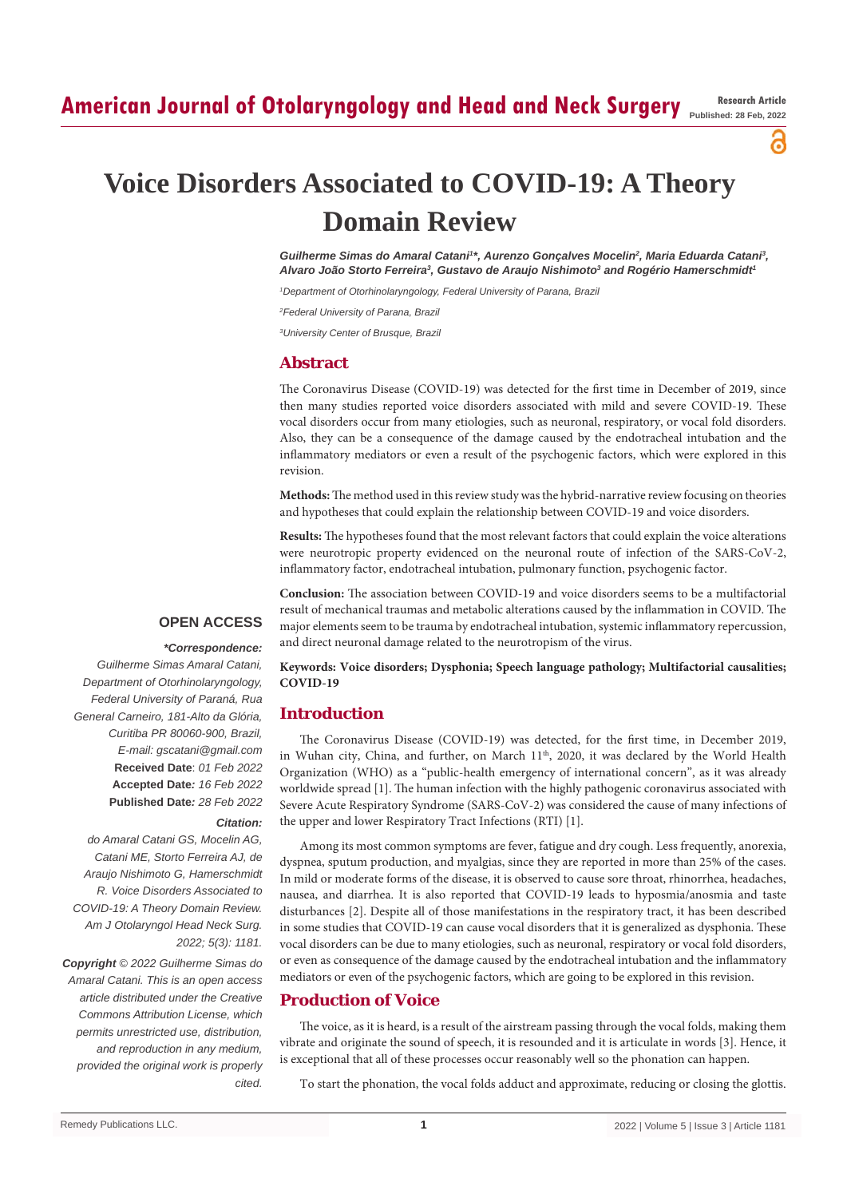# **American Journal of Otolaryngology and Head and Neck Surgery Research Article**

**Published: 28 Feb, 2022**

ဥ

# **Voice Disorders Associated to COVID-19: A Theory Domain Review**

Guilherme Simas do Amaral Catani<sup>1</sup>\*, Aurenzo Gonçalves Mocelin<sup>2</sup>, Maria Eduarda Catani<sup>3</sup>, *Alvaro João Storto Ferreira3 , Gustavo de Araujo Nishimoto3 and Rogério Hamerschmidt1*

*1 Department of Otorhinolaryngology, Federal University of Parana, Brazil*

*2 Federal University of Parana, Brazil*

*3 University Center of Brusque, Brazil*

#### **Abstract**

The Coronavirus Disease (COVID-19) was detected for the first time in December of 2019, since then many studies reported voice disorders associated with mild and severe COVID-19. These vocal disorders occur from many etiologies, such as neuronal, respiratory, or vocal fold disorders. Also, they can be a consequence of the damage caused by the endotracheal intubation and the inflammatory mediators or even a result of the psychogenic factors, which were explored in this revision.

**Methods:** The method used in this review study was the hybrid-narrative review focusing on theories and hypotheses that could explain the relationship between COVID-19 and voice disorders.

**Results:** The hypotheses found that the most relevant factors that could explain the voice alterations were neurotropic property evidenced on the neuronal route of infection of the SARS-CoV-2, inflammatory factor, endotracheal intubation, pulmonary function, psychogenic factor.

**Conclusion:** The association between COVID-19 and voice disorders seems to be a multifactorial result of mechanical traumas and metabolic alterations caused by the inflammation in COVID. The major elements seem to be trauma by endotracheal intubation, systemic inflammatory repercussion, and direct neuronal damage related to the neurotropism of the virus.

# **OPEN ACCESS**

#### *\*Correspondence:*

*Guilherme Simas Amaral Catani, Department of Otorhinolaryngology, Federal University of Paraná, Rua General Carneiro, 181-Alto da Glória, Curitiba PR 80060-900, Brazil, E-mail: gscatani@gmail.com* **Received Date**: *01 Feb 2022* **Accepted Date***: 16 Feb 2022* **Published Date***: 28 Feb 2022*

#### *Citation:*

*do Amaral Catani GS, Mocelin AG, Catani ME, Storto Ferreira AJ, de Araujo Nishimoto G, Hamerschmidt R. Voice Disorders Associated to COVID-19: A Theory Domain Review. Am J Otolaryngol Head Neck Surg. 2022; 5(3): 1181.*

*Copyright © 2022 Guilherme Simas do Amaral Catani. This is an open access article distributed under the Creative Commons Attribution License, which permits unrestricted use, distribution, and reproduction in any medium, provided the original work is properly cited.*

**Keywords: Voice disorders; Dysphonia; Speech language pathology; Multifactorial causalities; COVID-19**

#### **Introduction**

The Coronavirus Disease (COVID-19) was detected, for the first time, in December 2019, in Wuhan city, China, and further, on March  $11<sup>th</sup>$ , 2020, it was declared by the World Health Organization (WHO) as a "public-health emergency of international concern", as it was already worldwide spread [1]. The human infection with the highly pathogenic coronavirus associated with Severe Acute Respiratory Syndrome (SARS-CoV-2) was considered the cause of many infections of the upper and lower Respiratory Tract Infections (RTI) [1].

Among its most common symptoms are fever, fatigue and dry cough. Less frequently, anorexia, dyspnea, sputum production, and myalgias, since they are reported in more than 25% of the cases. In mild or moderate forms of the disease, it is observed to cause sore throat, rhinorrhea, headaches, nausea, and diarrhea. It is also reported that COVID-19 leads to hyposmia/anosmia and taste disturbances [2]. Despite all of those manifestations in the respiratory tract, it has been described in some studies that COVID-19 can cause vocal disorders that it is generalized as dysphonia. These vocal disorders can be due to many etiologies, such as neuronal, respiratory or vocal fold disorders, or even as consequence of the damage caused by the endotracheal intubation and the inflammatory mediators or even of the psychogenic factors, which are going to be explored in this revision.

# **Production of Voice**

The voice, as it is heard, is a result of the airstream passing through the vocal folds, making them vibrate and originate the sound of speech, it is resounded and it is articulate in words [3]. Hence, it is exceptional that all of these processes occur reasonably well so the phonation can happen.

To start the phonation, the vocal folds adduct and approximate, reducing or closing the glottis.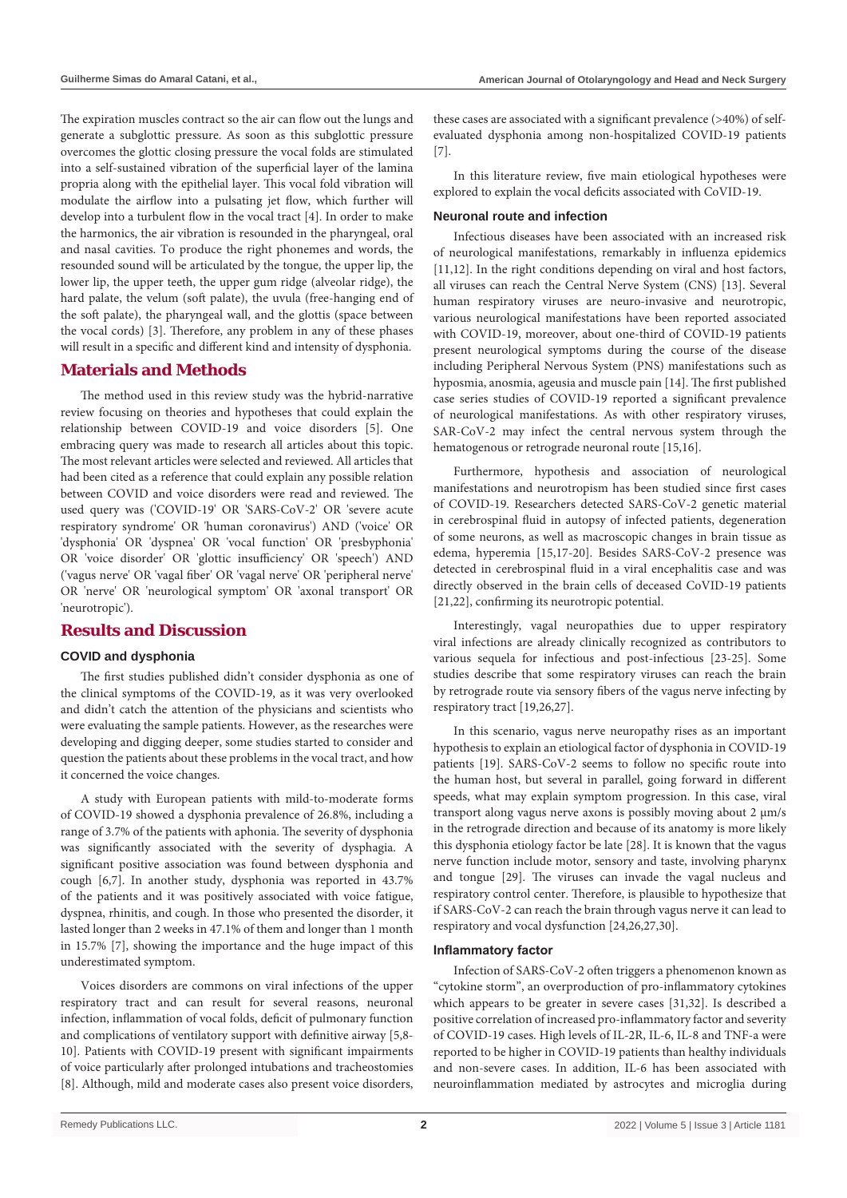The expiration muscles contract so the air can flow out the lungs and generate a subglottic pressure. As soon as this subglottic pressure overcomes the glottic closing pressure the vocal folds are stimulated into a self-sustained vibration of the superficial layer of the lamina propria along with the epithelial layer. This vocal fold vibration will modulate the airflow into a pulsating jet flow, which further will develop into a turbulent flow in the vocal tract [4]. In order to make the harmonics, the air vibration is resounded in the pharyngeal, oral and nasal cavities. To produce the right phonemes and words, the resounded sound will be articulated by the tongue, the upper lip, the lower lip, the upper teeth, the upper gum ridge (alveolar ridge), the hard palate, the velum (soft palate), the uvula (free-hanging end of the soft palate), the pharyngeal wall, and the glottis (space between the vocal cords) [3]. Therefore, any problem in any of these phases will result in a specific and different kind and intensity of dysphonia.

# **Materials and Methods**

The method used in this review study was the hybrid-narrative review focusing on theories and hypotheses that could explain the relationship between COVID-19 and voice disorders [5]. One embracing query was made to research all articles about this topic. The most relevant articles were selected and reviewed. All articles that had been cited as a reference that could explain any possible relation between COVID and voice disorders were read and reviewed. The used query was ('COVID-19' OR 'SARS-CoV-2' OR 'severe acute respiratory syndrome' OR 'human coronavirus') AND ('voice' OR 'dysphonia' OR 'dyspnea' OR 'vocal function' OR 'presbyphonia' OR 'voice disorder' OR 'glottic insufficiency' OR 'speech') AND ('vagus nerve' OR 'vagal fiber' OR 'vagal nerve' OR 'peripheral nerve' OR 'nerve' OR 'neurological symptom' OR 'axonal transport' OR 'neurotropic').

# **Results and Discussion**

#### **COVID and dysphonia**

The first studies published didn't consider dysphonia as one of the clinical symptoms of the COVID-19, as it was very overlooked and didn't catch the attention of the physicians and scientists who were evaluating the sample patients. However, as the researches were developing and digging deeper, some studies started to consider and question the patients about these problems in the vocal tract, and how it concerned the voice changes.

A study with European patients with mild-to-moderate forms of COVID-19 showed a dysphonia prevalence of 26.8%, including a range of 3.7% of the patients with aphonia. The severity of dysphonia was significantly associated with the severity of dysphagia. A significant positive association was found between dysphonia and cough [6,7]. In another study, dysphonia was reported in 43.7% of the patients and it was positively associated with voice fatigue, dyspnea, rhinitis, and cough. In those who presented the disorder, it lasted longer than 2 weeks in 47.1% of them and longer than 1 month in 15.7% [7], showing the importance and the huge impact of this underestimated symptom.

Voices disorders are commons on viral infections of the upper respiratory tract and can result for several reasons, neuronal infection, inflammation of vocal folds, deficit of pulmonary function and complications of ventilatory support with definitive airway [5,8- 10]. Patients with COVID-19 present with significant impairments of voice particularly after prolonged intubations and tracheostomies [8]. Although, mild and moderate cases also present voice disorders, these cases are associated with a significant prevalence (>40%) of selfevaluated dysphonia among non-hospitalized COVID-19 patients [7].

In this literature review, five main etiological hypotheses were explored to explain the vocal deficits associated with CoVID-19.

#### **Neuronal route and infection**

Infectious diseases have been associated with an increased risk of neurological manifestations, remarkably in influenza epidemics [11,12]. In the right conditions depending on viral and host factors, all viruses can reach the Central Nerve System (CNS) [13]. Several human respiratory viruses are neuro-invasive and neurotropic, various neurological manifestations have been reported associated with COVID-19, moreover, about one-third of COVID-19 patients present neurological symptoms during the course of the disease including Peripheral Nervous System (PNS) manifestations such as hyposmia, anosmia, ageusia and muscle pain [14]. The first published case series studies of COVID-19 reported a significant prevalence of neurological manifestations. As with other respiratory viruses, SAR-CoV-2 may infect the central nervous system through the hematogenous or retrograde neuronal route [15,16].

Furthermore, hypothesis and association of neurological manifestations and neurotropism has been studied since first cases of COVID-19. Researchers detected SARS-CoV-2 genetic material in cerebrospinal fluid in autopsy of infected patients, degeneration of some neurons, as well as macroscopic changes in brain tissue as edema, hyperemia [15,17-20]. Besides SARS-CoV-2 presence was detected in cerebrospinal fluid in a viral encephalitis case and was directly observed in the brain cells of deceased CoVID-19 patients [21,22], confirming its neurotropic potential.

Interestingly, vagal neuropathies due to upper respiratory viral infections are already clinically recognized as contributors to various sequela for infectious and post-infectious [23-25]. Some studies describe that some respiratory viruses can reach the brain by retrograde route via sensory fibers of the vagus nerve infecting by respiratory tract [19,26,27].

In this scenario, vagus nerve neuropathy rises as an important hypothesis to explain an etiological factor of dysphonia in COVID-19 patients [19]. SARS-CoV-2 seems to follow no specific route into the human host, but several in parallel, going forward in different speeds, what may explain symptom progression. In this case, viral transport along vagus nerve axons is possibly moving about 2 µm/s in the retrograde direction and because of its anatomy is more likely this dysphonia etiology factor be late [28]. It is known that the vagus nerve function include motor, sensory and taste, involving pharynx and tongue [29]. The viruses can invade the vagal nucleus and respiratory control center. Therefore, is plausible to hypothesize that if SARS-CoV-2 can reach the brain through vagus nerve it can lead to respiratory and vocal dysfunction [24,26,27,30].

#### **Inflammatory factor**

Infection of SARS-CoV-2 often triggers a phenomenon known as "cytokine storm", an overproduction of pro-inflammatory cytokines which appears to be greater in severe cases [31,32]. Is described a positive correlation of increased pro-inflammatory factor and severity of COVID-19 cases. High levels of IL-2R, IL-6, IL-8 and TNF-a were reported to be higher in COVID-19 patients than healthy individuals and non-severe cases. In addition, IL-6 has been associated with neuroinflammation mediated by astrocytes and microglia during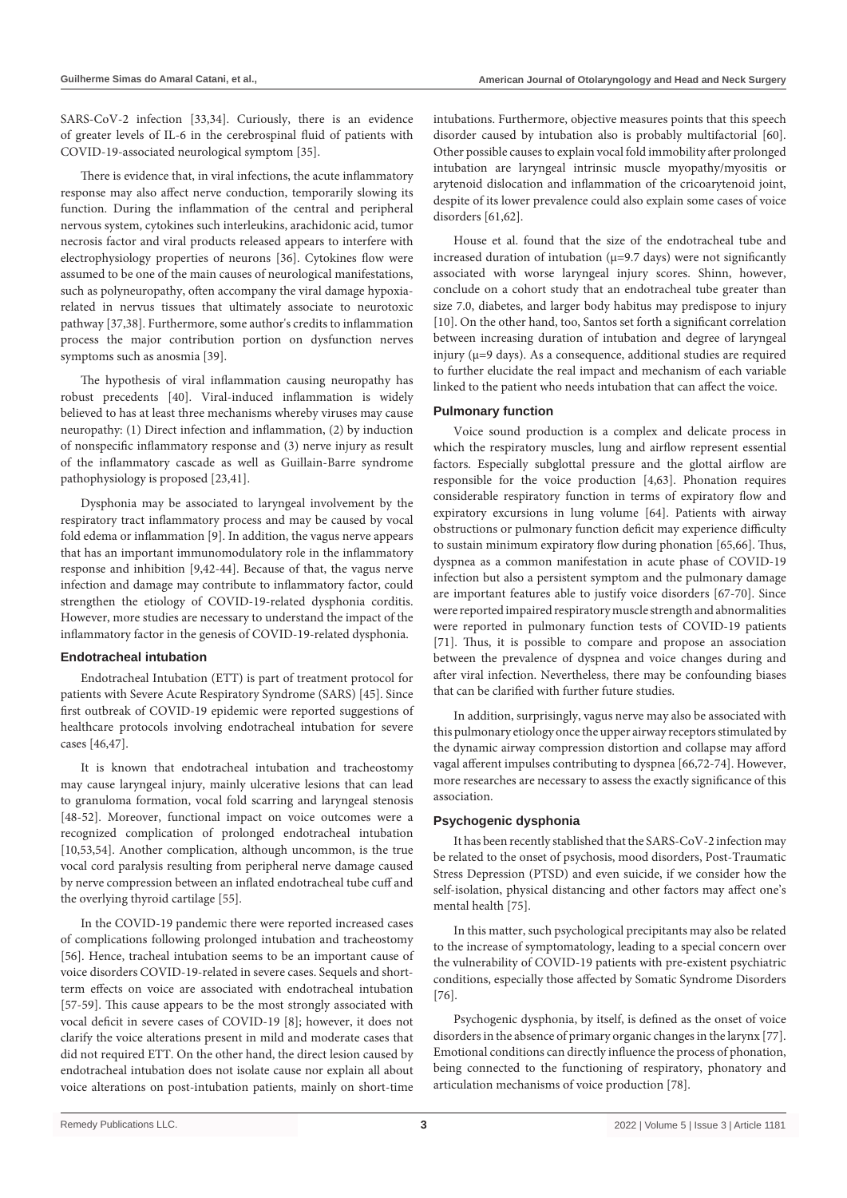SARS-CoV-2 infection [33,34]. Curiously, there is an evidence of greater levels of IL-6 in the cerebrospinal fluid of patients with COVID-19-associated neurological symptom [35].

There is evidence that, in viral infections, the acute inflammatory response may also affect nerve conduction, temporarily slowing its function. During the inflammation of the central and peripheral nervous system, cytokines such interleukins, arachidonic acid, tumor necrosis factor and viral products released appears to interfere with electrophysiology properties of neurons [36]. Cytokines flow were assumed to be one of the main causes of neurological manifestations, such as polyneuropathy, often accompany the viral damage hypoxiarelated in nervus tissues that ultimately associate to neurotoxic pathway [37,38]. Furthermore, some author's credits to inflammation process the major contribution portion on dysfunction nerves symptoms such as anosmia [39].

The hypothesis of viral inflammation causing neuropathy has robust precedents [40]. Viral-induced inflammation is widely believed to has at least three mechanisms whereby viruses may cause neuropathy: (1) Direct infection and inflammation, (2) by induction of nonspecific inflammatory response and (3) nerve injury as result of the inflammatory cascade as well as Guillain-Barre syndrome pathophysiology is proposed [23,41].

Dysphonia may be associated to laryngeal involvement by the respiratory tract inflammatory process and may be caused by vocal fold edema or inflammation [9]. In addition, the vagus nerve appears that has an important immunomodulatory role in the inflammatory response and inhibition [9,42-44]. Because of that, the vagus nerve infection and damage may contribute to inflammatory factor, could strengthen the etiology of COVID-19-related dysphonia corditis. However, more studies are necessary to understand the impact of the inflammatory factor in the genesis of COVID-19-related dysphonia.

#### **Endotracheal intubation**

Endotracheal Intubation (ETT) is part of treatment protocol for patients with Severe Acute Respiratory Syndrome (SARS) [45]. Since first outbreak of COVID-19 epidemic were reported suggestions of healthcare protocols involving endotracheal intubation for severe cases [46,47].

It is known that endotracheal intubation and tracheostomy may cause laryngeal injury, mainly ulcerative lesions that can lead to granuloma formation, vocal fold scarring and laryngeal stenosis [48-52]. Moreover, functional impact on voice outcomes were a recognized complication of prolonged endotracheal intubation [10,53,54]. Another complication, although uncommon, is the true vocal cord paralysis resulting from peripheral nerve damage caused by nerve compression between an inflated endotracheal tube cuff and the overlying thyroid cartilage [55].

In the COVID-19 pandemic there were reported increased cases of complications following prolonged intubation and tracheostomy [56]. Hence, tracheal intubation seems to be an important cause of voice disorders COVID-19-related in severe cases. Sequels and shortterm effects on voice are associated with endotracheal intubation [57-59]. This cause appears to be the most strongly associated with vocal deficit in severe cases of COVID-19 [8]; however, it does not clarify the voice alterations present in mild and moderate cases that did not required ETT. On the other hand, the direct lesion caused by endotracheal intubation does not isolate cause nor explain all about voice alterations on post-intubation patients, mainly on short-time intubations. Furthermore, objective measures points that this speech disorder caused by intubation also is probably multifactorial [60]. Other possible causes to explain vocal fold immobility after prolonged intubation are laryngeal intrinsic muscle myopathy/myositis or arytenoid dislocation and inflammation of the cricoarytenoid joint, despite of its lower prevalence could also explain some cases of voice disorders [61,62].

House et al. found that the size of the endotracheal tube and increased duration of intubation ( $\mu$ =9.7 days) were not significantly associated with worse laryngeal injury scores. Shinn, however, conclude on a cohort study that an endotracheal tube greater than size 7.0, diabetes, and larger body habitus may predispose to injury [10]. On the other hand, too, Santos set forth a significant correlation between increasing duration of intubation and degree of laryngeal injury ( $\mu$ =9 days). As a consequence, additional studies are required to further elucidate the real impact and mechanism of each variable linked to the patient who needs intubation that can affect the voice.

#### **Pulmonary function**

Voice sound production is a complex and delicate process in which the respiratory muscles, lung and airflow represent essential factors. Especially subglottal pressure and the glottal airflow are responsible for the voice production [4,63]. Phonation requires considerable respiratory function in terms of expiratory flow and expiratory excursions in lung volume [64]. Patients with airway obstructions or pulmonary function deficit may experience difficulty to sustain minimum expiratory flow during phonation [65,66]. Thus, dyspnea as a common manifestation in acute phase of COVID-19 infection but also a persistent symptom and the pulmonary damage are important features able to justify voice disorders [67-70]. Since were reported impaired respiratory muscle strength and abnormalities were reported in pulmonary function tests of COVID-19 patients [71]. Thus, it is possible to compare and propose an association between the prevalence of dyspnea and voice changes during and after viral infection. Nevertheless, there may be confounding biases that can be clarified with further future studies.

In addition, surprisingly, vagus nerve may also be associated with this pulmonary etiology once the upper airway receptors stimulated by the dynamic airway compression distortion and collapse may afford vagal afferent impulses contributing to dyspnea [66,72-74]. However, more researches are necessary to assess the exactly significance of this association.

#### **Psychogenic dysphonia**

It has been recently stablished that the SARS-CoV-2 infection may be related to the onset of psychosis, mood disorders, Post-Traumatic Stress Depression (PTSD) and even suicide, if we consider how the self-isolation, physical distancing and other factors may affect one's mental health [75].

In this matter, such psychological precipitants may also be related to the increase of symptomatology, leading to a special concern over the vulnerability of COVID-19 patients with pre-existent psychiatric conditions, especially those affected by Somatic Syndrome Disorders [76].

Psychogenic dysphonia, by itself, is defined as the onset of voice disorders in the absence of primary organic changes in the larynx [77]. Emotional conditions can directly influence the process of phonation, being connected to the functioning of respiratory, phonatory and articulation mechanisms of voice production [78].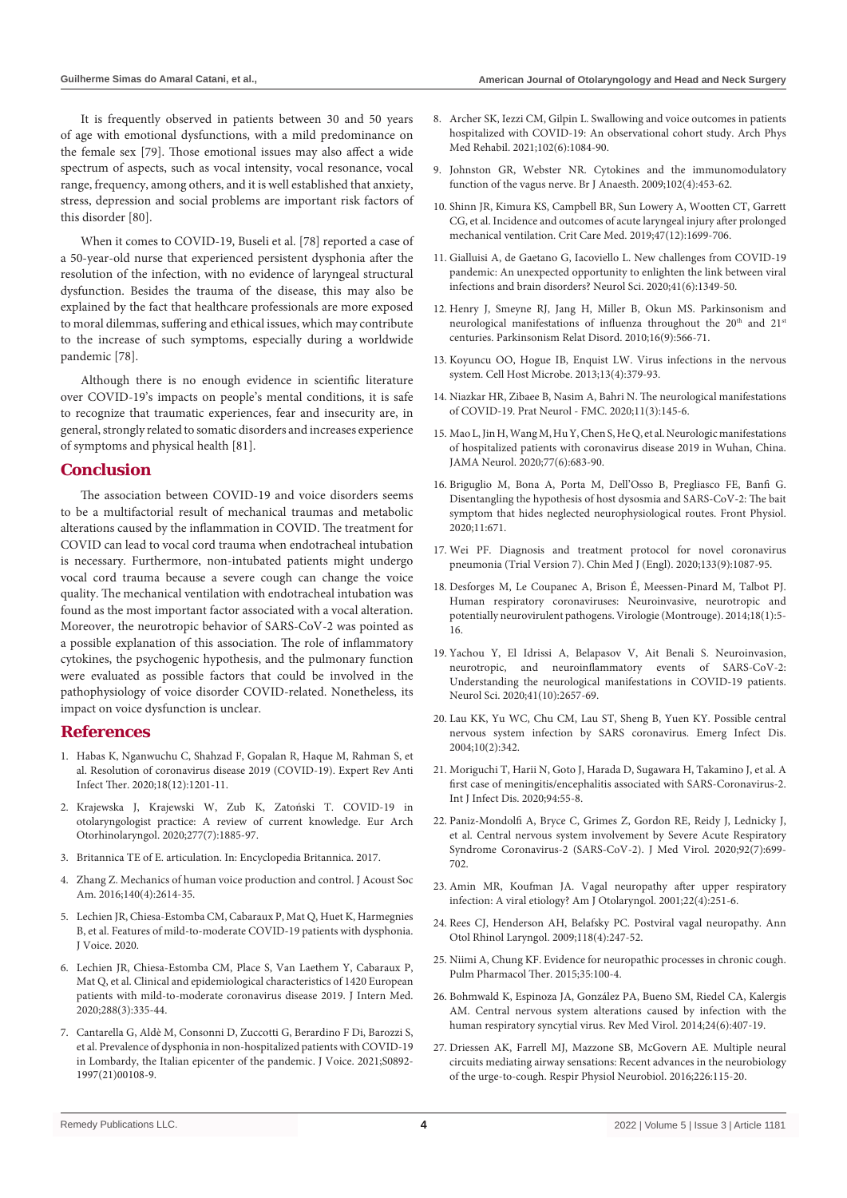It is frequently observed in patients between 30 and 50 years of age with emotional dysfunctions, with a mild predominance on the female sex [79]. Those emotional issues may also affect a wide spectrum of aspects, such as vocal intensity, vocal resonance, vocal range, frequency, among others, and it is well established that anxiety, stress, depression and social problems are important risk factors of this disorder [80].

When it comes to COVID-19, Buseli et al. [78] reported a case of a 50-year-old nurse that experienced persistent dysphonia after the resolution of the infection, with no evidence of laryngeal structural dysfunction. Besides the trauma of the disease, this may also be explained by the fact that healthcare professionals are more exposed to moral dilemmas, suffering and ethical issues, which may contribute to the increase of such symptoms, especially during a worldwide pandemic [78].

Although there is no enough evidence in scientific literature over COVID-19's impacts on people's mental conditions, it is safe to recognize that traumatic experiences, fear and insecurity are, in general, strongly related to somatic disorders and increases experience of symptoms and physical health [81].

#### **Conclusion**

The association between COVID-19 and voice disorders seems to be a multifactorial result of mechanical traumas and metabolic alterations caused by the inflammation in COVID. The treatment for COVID can lead to vocal cord trauma when endotracheal intubation is necessary. Furthermore, non-intubated patients might undergo vocal cord trauma because a severe cough can change the voice quality. The mechanical ventilation with endotracheal intubation was found as the most important factor associated with a vocal alteration. Moreover, the neurotropic behavior of SARS-CoV-2 was pointed as a possible explanation of this association. The role of inflammatory cytokines, the psychogenic hypothesis, and the pulmonary function were evaluated as possible factors that could be involved in the pathophysiology of voice disorder COVID-related. Nonetheless, its impact on voice dysfunction is unclear.

# **References**

- 1. [Habas K, Nganwuchu C, Shahzad F, Gopalan R, Haque M, Rahman S, et](https://pubmed.ncbi.nlm.nih.gov/32749914/)  [al. Resolution of coronavirus disease 2019 \(COVID-19\). Expert Rev Anti](https://pubmed.ncbi.nlm.nih.gov/32749914/)  [Infect Ther. 2020;18\(12\):1201-11.](https://pubmed.ncbi.nlm.nih.gov/32749914/)
- 2. [Krajewska J, Krajewski W, Zub K, Zatoński T. COVID-19 in](https://pubmed.ncbi.nlm.nih.gov/32306118/)  [otolaryngologist practice: A review of current knowledge. Eur Arch](https://pubmed.ncbi.nlm.nih.gov/32306118/)  [Otorhinolaryngol. 2020;277\(7\):1885-97.](https://pubmed.ncbi.nlm.nih.gov/32306118/)
- 3. Britannica TE of E. articulation. In: Encyclopedia Britannica. 2017.
- 4. [Zhang Z. Mechanics of human voice production and control. J Acoust Soc](https://pubmed.ncbi.nlm.nih.gov/27794319/)  [Am. 2016;140\(4\):2614-35.](https://pubmed.ncbi.nlm.nih.gov/27794319/)
- 5. [Lechien JR, Chiesa-Estomba CM, Cabaraux P, Mat Q, Huet K, Harmegnies](https://www.ncbi.nlm.nih.gov/pmc/articles/PMC7269945/)  [B, et al. Features of mild-to-moderate COVID-19 patients with dysphonia.](https://www.ncbi.nlm.nih.gov/pmc/articles/PMC7269945/)  [J Voice. 2020.](https://www.ncbi.nlm.nih.gov/pmc/articles/PMC7269945/)
- 6. [Lechien JR, Chiesa-Estomba CM, Place S, Van Laethem Y, Cabaraux P,](https://pubmed.ncbi.nlm.nih.gov/32352202/)  [Mat Q, et al. Clinical and epidemiological characteristics of 1420 European](https://pubmed.ncbi.nlm.nih.gov/32352202/)  [patients with mild-to-moderate coronavirus disease 2019. J Intern Med.](https://pubmed.ncbi.nlm.nih.gov/32352202/)  [2020;288\(3\):335-44.](https://pubmed.ncbi.nlm.nih.gov/32352202/)
- 7. [Cantarella G, Aldè M, Consonni D, Zuccotti G, Berardino F Di, Barozzi S,](https://pubmed.ncbi.nlm.nih.gov/33766419/)  [et al. Prevalence of dysphonia in non-hospitalized patients with COVID-19](https://pubmed.ncbi.nlm.nih.gov/33766419/)  [in Lombardy, the Italian epicenter of the pandemic. J Voice. 2021;S0892-](https://pubmed.ncbi.nlm.nih.gov/33766419/) [1997\(21\)00108-9.](https://pubmed.ncbi.nlm.nih.gov/33766419/)
- 8. [Archer SK, Iezzi CM, Gilpin L. Swallowing and voice outcomes in patients](https://pubmed.ncbi.nlm.nih.gov/33529610/)  [hospitalized with COVID-19: An observational cohort study. Arch Phys](https://pubmed.ncbi.nlm.nih.gov/33529610/)  [Med Rehabil. 2021;102\(6\):1084-90.](https://pubmed.ncbi.nlm.nih.gov/33529610/)
- 9. [Johnston GR, Webster NR. Cytokines and the immunomodulatory](https://pubmed.ncbi.nlm.nih.gov/19258380/)  [function of the vagus nerve. Br J Anaesth. 2009;102\(4\):453-62.](https://pubmed.ncbi.nlm.nih.gov/19258380/)
- 10. [Shinn JR, Kimura KS, Campbell BR, Sun Lowery A, Wootten CT, Garrett](https://pubmed.ncbi.nlm.nih.gov/31634236/)  [CG, et al. Incidence and outcomes of acute laryngeal injury after prolonged](https://pubmed.ncbi.nlm.nih.gov/31634236/)  [mechanical ventilation. Crit Care Med. 2019;47\(12\):1699-706.](https://pubmed.ncbi.nlm.nih.gov/31634236/)
- 11. [Gialluisi A, de Gaetano G, Iacoviello L. New challenges from COVID-19](https://pubmed.ncbi.nlm.nih.gov/32372197/)  [pandemic: An unexpected opportunity to enlighten the link between viral](https://pubmed.ncbi.nlm.nih.gov/32372197/)  [infections and brain disorders? Neurol Sci. 2020;41\(6\):1349-50.](https://pubmed.ncbi.nlm.nih.gov/32372197/)
- 12. [Henry J, Smeyne RJ, Jang H, Miller B, Okun MS. Parkinsonism and](https://pubmed.ncbi.nlm.nih.gov/20650672/)  neurological manifestations of influenza throughout the 20<sup>th</sup> and 21<sup>st</sup> [centuries. Parkinsonism Relat Disord. 2010;16\(9\):566-71.](https://pubmed.ncbi.nlm.nih.gov/20650672/)
- 13. [Koyuncu OO, Hogue IB, Enquist LW. Virus infections in the nervous](https://pubmed.ncbi.nlm.nih.gov/23601101/)  [system. Cell Host Microbe. 2013;13\(4\):379-93.](https://pubmed.ncbi.nlm.nih.gov/23601101/)
- 14. Niazkar HR, Zibaee B, Nasim A, Bahri N. The neurological manifestations of COVID-19. Prat Neurol - FMC. 2020;11(3):145-6.
- 15. [Mao L, Jin H, Wang M, Hu Y, Chen S, He Q, et al. Neurologic manifestations](https://pubmed.ncbi.nlm.nih.gov/32275288/)  [of hospitalized patients with coronavirus disease 2019 in Wuhan, China.](https://pubmed.ncbi.nlm.nih.gov/32275288/)  [JAMA Neurol. 2020;77\(6\):683-90.](https://pubmed.ncbi.nlm.nih.gov/32275288/)
- 16. [Briguglio M, Bona A, Porta M, Dell'Osso B, Pregliasco FE, Banfi G.](https://pubmed.ncbi.nlm.nih.gov/32581854/)  [Disentangling the hypothesis of host dysosmia and SARS-CoV-2: The bait](https://pubmed.ncbi.nlm.nih.gov/32581854/)  [symptom that hides neglected neurophysiological routes. Front Physiol.](https://pubmed.ncbi.nlm.nih.gov/32581854/)  [2020;11:671.](https://pubmed.ncbi.nlm.nih.gov/32581854/)
- 17. [Wei PF. Diagnosis and treatment protocol for novel coronavirus](https://pubmed.ncbi.nlm.nih.gov/32358325/)  [pneumonia \(Trial Version 7\). Chin Med J \(Engl\). 2020;133\(9\):1087-95.](https://pubmed.ncbi.nlm.nih.gov/32358325/)
- 18. [Desforges M, Le Coupanec A, Brison É, Meessen-Pinard M, Talbot PJ.](https://pubmed.ncbi.nlm.nih.gov/32260043/)  [Human respiratory coronaviruses: Neuroinvasive, neurotropic and](https://pubmed.ncbi.nlm.nih.gov/32260043/)  [potentially neurovirulent pathogens. Virologie \(Montrouge\). 2014;18\(1\):5-](https://pubmed.ncbi.nlm.nih.gov/32260043/) [16.](https://pubmed.ncbi.nlm.nih.gov/32260043/)
- 19. [Yachou Y, El Idrissi A, Belapasov V, Ait Benali S. Neuroinvasion,](https://pubmed.ncbi.nlm.nih.gov/32725449/)  [neurotropic, and neuroinflammatory events of SARS-CoV-2:](https://pubmed.ncbi.nlm.nih.gov/32725449/)  [Understanding the neurological manifestations in COVID-19 patients.](https://pubmed.ncbi.nlm.nih.gov/32725449/)  [Neurol Sci. 2020;41\(10\):2657-69.](https://pubmed.ncbi.nlm.nih.gov/32725449/)
- 20. [Lau KK, Yu WC, Chu CM, Lau ST, Sheng B, Yuen KY. Possible central](https://pubmed.ncbi.nlm.nih.gov/15030709/)  [nervous system infection by SARS coronavirus. Emerg Infect Dis.](https://pubmed.ncbi.nlm.nih.gov/15030709/)  [2004;10\(2\):342.](https://pubmed.ncbi.nlm.nih.gov/15030709/)
- 21. [Moriguchi T, Harii N, Goto J, Harada D, Sugawara H, Takamino J, et al. A](https://pubmed.ncbi.nlm.nih.gov/32251791/)  [first case of meningitis/encephalitis associated with SARS-Coronavirus-2.](https://pubmed.ncbi.nlm.nih.gov/32251791/)  [Int J Infect Dis. 2020;94:55-8.](https://pubmed.ncbi.nlm.nih.gov/32251791/)
- 22. [Paniz-Mondolfi A, Bryce C, Grimes Z, Gordon RE, Reidy J, Lednicky J,](https://pubmed.ncbi.nlm.nih.gov/32314810/)  [et al. Central nervous system involvement by Severe Acute Respiratory](https://pubmed.ncbi.nlm.nih.gov/32314810/)  [Syndrome Coronavirus-2 \(SARS-CoV-2\). J Med Virol. 2020;92\(7\):699-](https://pubmed.ncbi.nlm.nih.gov/32314810/) [702.](https://pubmed.ncbi.nlm.nih.gov/32314810/)
- 23. [Amin MR, Koufman JA. Vagal neuropathy after upper respiratory](https://pubmed.ncbi.nlm.nih.gov/11464321/)  [infection: A viral etiology? Am J Otolaryngol. 2001;22\(4\):251-6.](https://pubmed.ncbi.nlm.nih.gov/11464321/)
- 24. [Rees CJ, Henderson AH, Belafsky PC. Postviral vagal neuropathy. Ann](https://pubmed.ncbi.nlm.nih.gov/19462843/)  [Otol Rhinol Laryngol. 2009;118\(4\):247-52.](https://pubmed.ncbi.nlm.nih.gov/19462843/)
- 25. [Niimi A, Chung KF. Evidence for neuropathic processes in chronic cough.](https://pubmed.ncbi.nlm.nih.gov/26474678/)  [Pulm Pharmacol Ther. 2015;35:100-4.](https://pubmed.ncbi.nlm.nih.gov/26474678/)
- 26. [Bohmwald K, Espinoza JA, González PA, Bueno SM, Riedel CA, Kalergis](https://pubmed.ncbi.nlm.nih.gov/25316031/)  [AM. Central nervous system alterations caused by infection with the](https://pubmed.ncbi.nlm.nih.gov/25316031/)  [human respiratory syncytial virus. Rev Med Virol. 2014;24\(6\):407-19.](https://pubmed.ncbi.nlm.nih.gov/25316031/)
- 27. [Driessen AK, Farrell MJ, Mazzone SB, McGovern AE. Multiple neural](https://pubmed.ncbi.nlm.nih.gov/26455780/)  [circuits mediating airway sensations: Recent advances in the neurobiology](https://pubmed.ncbi.nlm.nih.gov/26455780/)  [of the urge-to-cough. Respir Physiol Neurobiol. 2016;226:115-20.](https://pubmed.ncbi.nlm.nih.gov/26455780/)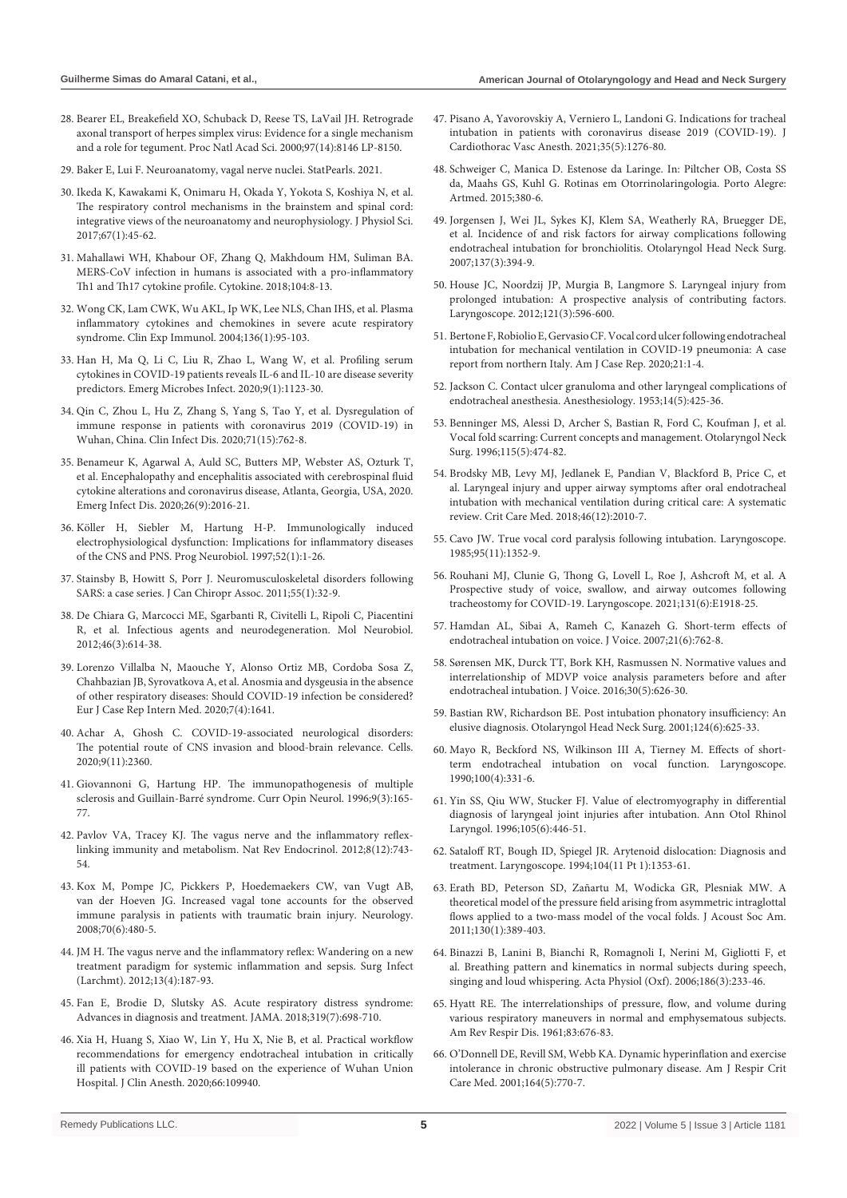- 28. [Bearer EL, Breakefield XO, Schuback D, Reese TS, LaVail JH. Retrograde](https://www.pnas.org/content/97/14/8146)  [axonal transport of herpes simplex virus: Evidence for a single mechanism](https://www.pnas.org/content/97/14/8146)  [and a role for tegument. Proc Natl Acad Sci. 2000;97\(14\):8146 LP-8150.](https://www.pnas.org/content/97/14/8146)
- 29. [Baker E, Lui F. Neuroanatomy, vagal nerve nuclei. StatPearls. 2021.](https://www.ncbi.nlm.nih.gov/books/NBK545209/)
- 30. [Ikeda K, Kawakami K, Onimaru H, Okada Y, Yokota S, Koshiya N, et al.](https://pubmed.ncbi.nlm.nih.gov/27535569/)  [The respiratory control mechanisms in the brainstem and spinal cord:](https://pubmed.ncbi.nlm.nih.gov/27535569/)  [integrative views of the neuroanatomy and neurophysiology. J Physiol Sci.](https://pubmed.ncbi.nlm.nih.gov/27535569/)  [2017;67\(1\):45-62.](https://pubmed.ncbi.nlm.nih.gov/27535569/)
- 31. [Mahallawi WH, Khabour OF, Zhang Q, Makhdoum HM, Suliman BA.](https://pubmed.ncbi.nlm.nih.gov/29414327/)  [MERS-CoV infection in humans is associated with a pro-inflammatory](https://pubmed.ncbi.nlm.nih.gov/29414327/)  [Th1 and Th17 cytokine profile. Cytokine. 2018;104:8-13.](https://pubmed.ncbi.nlm.nih.gov/29414327/)
- 32. Wong CK, Lam CWK, Wu AKL, Ip WK, Lee NLS, Chan IHS, et al. Plasma inflammatory cytokines and chemokines in severe acute respiratory syndrome. Clin Exp Immunol. 2004;136(1):95-103.
- 33. [Han H, Ma Q, Li C, Liu R, Zhao L, Wang W, et al. Profiling serum](https://pubmed.ncbi.nlm.nih.gov/32475230/)  [cytokines in COVID-19 patients reveals IL-6 and IL-10 are disease severity](https://pubmed.ncbi.nlm.nih.gov/32475230/)  [predictors. Emerg Microbes Infect. 2020;9\(1\):1123-30.](https://pubmed.ncbi.nlm.nih.gov/32475230/)
- 34. [Qin C, Zhou L, Hu Z, Zhang S, Yang S, Tao Y, et al. Dysregulation of](https://pubmed.ncbi.nlm.nih.gov/32161940/)  [immune response in patients with coronavirus 2019 \(COVID-19\) in](https://pubmed.ncbi.nlm.nih.gov/32161940/)  [Wuhan, China. Clin Infect Dis. 2020;71\(15\):762-8.](https://pubmed.ncbi.nlm.nih.gov/32161940/)
- 35. [Benameur K, Agarwal A, Auld SC, Butters MP, Webster AS, Ozturk T,](https://pubmed.ncbi.nlm.nih.gov/32487282/)  [et al. Encephalopathy and encephalitis associated with cerebrospinal fluid](https://pubmed.ncbi.nlm.nih.gov/32487282/)  [cytokine alterations and coronavirus disease, Atlanta, Georgia, USA, 2020.](https://pubmed.ncbi.nlm.nih.gov/32487282/)  [Emerg Infect Dis. 2020;26\(9\):2016-21.](https://pubmed.ncbi.nlm.nih.gov/32487282/)
- 36. [Köller H, Siebler M, Hartung H-P. Immunologically induced](https://pubmed.ncbi.nlm.nih.gov/9185232/)  [electrophysiological dysfunction: Implications for inflammatory diseases](https://pubmed.ncbi.nlm.nih.gov/9185232/)  [of the CNS and PNS. Prog Neurobiol. 1997;52\(1\):1-26.](https://pubmed.ncbi.nlm.nih.gov/9185232/)
- 37. [Stainsby B, Howitt S, Porr J. Neuromusculoskeletal disorders following](https://pubmed.ncbi.nlm.nih.gov/21403780/)  [SARS: a case series. J Can Chiropr Assoc. 2011;55\(1\):32-9.](https://pubmed.ncbi.nlm.nih.gov/21403780/)
- 38. [De Chiara G, Marcocci ME, Sgarbanti R, Civitelli L, Ripoli C, Piacentini](https://pubmed.ncbi.nlm.nih.gov/22899188/)  [R, et al. Infectious agents and neurodegeneration. Mol Neurobiol.](https://pubmed.ncbi.nlm.nih.gov/22899188/)  [2012;46\(3\):614-38.](https://pubmed.ncbi.nlm.nih.gov/22899188/)
- 39. [Lorenzo Villalba N, Maouche Y, Alonso Ortiz MB, Cordoba Sosa Z,](https://www.ncbi.nlm.nih.gov/pmc/articles/PMC7162576/)  [Chahbazian JB, Syrovatkova A, et al. Anosmia and dysgeusia in the absence](https://www.ncbi.nlm.nih.gov/pmc/articles/PMC7162576/)  [of other respiratory diseases: Should COVID-19 infection be considered?](https://www.ncbi.nlm.nih.gov/pmc/articles/PMC7162576/)  [Eur J Case Rep Intern Med. 2020;7\(4\):1641.](https://www.ncbi.nlm.nih.gov/pmc/articles/PMC7162576/)
- 40. [Achar A, Ghosh C. COVID-19-associated neurological disorders:](https://pubmed.ncbi.nlm.nih.gov/33120941/)  [The potential route of CNS invasion and blood-brain relevance. Cells.](https://pubmed.ncbi.nlm.nih.gov/33120941/)  [2020;9\(11\):2360.](https://pubmed.ncbi.nlm.nih.gov/33120941/)
- 41. [Giovannoni G, Hartung HP. The immunopathogenesis of multiple](https://pubmed.ncbi.nlm.nih.gov/8839607/)  [sclerosis and Guillain-Barré syndrome. Curr Opin Neurol. 1996;9\(3\):165-](https://pubmed.ncbi.nlm.nih.gov/8839607/) [77.](https://pubmed.ncbi.nlm.nih.gov/8839607/)
- 42. [Pavlov VA, Tracey KJ. The vagus nerve and the inflammatory reflex](https://pubmed.ncbi.nlm.nih.gov/23169440/)[linking immunity and metabolism. Nat Rev Endocrinol. 2012;8\(12\):743-](https://pubmed.ncbi.nlm.nih.gov/23169440/) [54.](https://pubmed.ncbi.nlm.nih.gov/23169440/)
- 43. [Kox M, Pompe JC, Pickkers P, Hoedemaekers CW, van Vugt AB,](https://pubmed.ncbi.nlm.nih.gov/18250293/)  [van der Hoeven JG. Increased vagal tone accounts for the observed](https://pubmed.ncbi.nlm.nih.gov/18250293/)  [immune paralysis in patients with traumatic brain injury. Neurology.](https://pubmed.ncbi.nlm.nih.gov/18250293/)  [2008;70\(6\):480-5.](https://pubmed.ncbi.nlm.nih.gov/18250293/)
- 44. [JM H. The vagus nerve and the inflammatory reflex: Wandering on a new](https://pubmed.ncbi.nlm.nih.gov/22913335/)  [treatment paradigm for systemic inflammation and sepsis. Surg Infect](https://pubmed.ncbi.nlm.nih.gov/22913335/)  [\(Larchmt\). 2012;13\(4\):187-93.](https://pubmed.ncbi.nlm.nih.gov/22913335/)
- 45. [Fan E, Brodie D, Slutsky AS. Acute respiratory distress syndrome:](https://pubmed.ncbi.nlm.nih.gov/29466596/)  [Advances in diagnosis and treatment. JAMA. 2018;319\(7\):698-710.](https://pubmed.ncbi.nlm.nih.gov/29466596/)
- 46. [Xia H, Huang S, Xiao W, Lin Y, Hu X, Nie B, et al. Practical workflow](https://pubmed.ncbi.nlm.nih.gov/32480204/)  [recommendations for emergency endotracheal intubation in critically](https://pubmed.ncbi.nlm.nih.gov/32480204/)  [ill patients with COVID-19 based on the experience of Wuhan Union](https://pubmed.ncbi.nlm.nih.gov/32480204/)  [Hospital. J Clin Anesth. 2020;66:109940.](https://pubmed.ncbi.nlm.nih.gov/32480204/)
- 47. [Pisano A, Yavorovskiy A, Verniero L, Landoni G. Indications for tracheal](https://pubmed.ncbi.nlm.nih.gov/33349501/)  [intubation in patients with coronavirus disease 2019 \(COVID-19\). J](https://pubmed.ncbi.nlm.nih.gov/33349501/)  [Cardiothorac Vasc Anesth. 2021;35\(5\):1276-80.](https://pubmed.ncbi.nlm.nih.gov/33349501/)
- 48. Schweiger C, Manica D. Estenose da Laringe. In: Piltcher OB, Costa SS da, Maahs GS, Kuhl G. Rotinas em Otorrinolaringologia. Porto Alegre: Artmed. 2015;380-6.
- 49. [Jorgensen J, Wei JL, Sykes KJ, Klem SA, Weatherly RA, Bruegger DE,](https://pubmed.ncbi.nlm.nih.gov/17765764/)  [et al. Incidence of and risk factors for airway complications following](https://pubmed.ncbi.nlm.nih.gov/17765764/)  [endotracheal intubation for bronchiolitis. Otolaryngol Head Neck Surg.](https://pubmed.ncbi.nlm.nih.gov/17765764/)  [2007;137\(3\):394-9.](https://pubmed.ncbi.nlm.nih.gov/17765764/)
- 50. [House JC, Noordzij JP, Murgia B, Langmore S. Laryngeal injury from](https://pubmed.ncbi.nlm.nih.gov/21344442/)  [prolonged intubation: A prospective analysis of contributing factors.](https://pubmed.ncbi.nlm.nih.gov/21344442/)  [Laryngoscope. 2012;121\(3\):596-600.](https://pubmed.ncbi.nlm.nih.gov/21344442/)
- 51. [Bertone F, Robiolio E, Gervasio CF. Vocal cord ulcer following endotracheal](https://pubmed.ncbi.nlm.nih.gov/33147206/)  [intubation for mechanical ventilation in COVID-19 pneumonia: A case](https://pubmed.ncbi.nlm.nih.gov/33147206/)  [report from northern Italy. Am J Case Rep. 2020;21:1-4.](https://pubmed.ncbi.nlm.nih.gov/33147206/)
- 52. [Jackson C. Contact ulcer granuloma and other laryngeal complications of](https://pubmed.ncbi.nlm.nih.gov/13080699/)  [endotracheal anesthesia. Anesthesiology. 1953;14\(5\):425-36.](https://pubmed.ncbi.nlm.nih.gov/13080699/)
- 53. [Benninger MS, Alessi D, Archer S, Bastian R, Ford C, Koufman J, et al.](https://pubmed.ncbi.nlm.nih.gov/8903451/)  [Vocal fold scarring: Current concepts and management. Otolaryngol Neck](https://pubmed.ncbi.nlm.nih.gov/8903451/)  [Surg. 1996;115\(5\):474-82.](https://pubmed.ncbi.nlm.nih.gov/8903451/)
- 54. [Brodsky MB, Levy MJ, Jedlanek E, Pandian V, Blackford B, Price C, et](https://pubmed.ncbi.nlm.nih.gov/30096101/)  [al. Laryngeal injury and upper airway symptoms after oral endotracheal](https://pubmed.ncbi.nlm.nih.gov/30096101/)  [intubation with mechanical ventilation during critical care: A systematic](https://pubmed.ncbi.nlm.nih.gov/30096101/)  [review. Crit Care Med. 2018;46\(12\):2010-7.](https://pubmed.ncbi.nlm.nih.gov/30096101/)
- 55. [Cavo JW. True vocal cord paralysis following intubation. Laryngoscope.](https://pubmed.ncbi.nlm.nih.gov/4058215/)  [1985;95\(11\):1352-9.](https://pubmed.ncbi.nlm.nih.gov/4058215/)
- 56. [Rouhani MJ, Clunie G, Thong G, Lovell L, Roe J, Ashcroft M, et al. A](https://pubmed.ncbi.nlm.nih.gov/33341953/)  [Prospective study of voice, swallow, and airway outcomes following](https://pubmed.ncbi.nlm.nih.gov/33341953/)  [tracheostomy for COVID-19. Laryngoscope. 2021;131\(6\):E1918-25.](https://pubmed.ncbi.nlm.nih.gov/33341953/)
- 57. [Hamdan AL, Sibai A, Rameh C, Kanazeh G. Short-term effects of](https://pubmed.ncbi.nlm.nih.gov/16905292/)  [endotracheal intubation on voice. J Voice. 2007;21\(6\):762-8.](https://pubmed.ncbi.nlm.nih.gov/16905292/)
- 58. [Sørensen MK, Durck TT, Bork KH, Rasmussen N. Normative values and](https://pubmed.ncbi.nlm.nih.gov/26234917/)  [interrelationship of MDVP voice analysis parameters before and after](https://pubmed.ncbi.nlm.nih.gov/26234917/)  [endotracheal intubation. J Voice. 2016;30\(5\):626-30.](https://pubmed.ncbi.nlm.nih.gov/26234917/)
- 59. [Bastian RW, Richardson BE. Post intubation phonatory insufficiency: An](https://pubmed.ncbi.nlm.nih.gov/11391252/)  [elusive diagnosis. Otolaryngol Head Neck Surg. 2001;124\(6\):625-33.](https://pubmed.ncbi.nlm.nih.gov/11391252/)
- 60. [Mayo R, Beckford NS, Wilkinson III A, Tierney M. Effects of short](https://pubmed.ncbi.nlm.nih.gov/2319880/)[term endotracheal intubation on vocal function. Laryngoscope.](https://pubmed.ncbi.nlm.nih.gov/2319880/)  [1990;100\(4\):331-6.](https://pubmed.ncbi.nlm.nih.gov/2319880/)
- 61. [Yin SS, Qiu WW, Stucker FJ. Value of electromyography in differential](https://pubmed.ncbi.nlm.nih.gov/8638895/)  [diagnosis of laryngeal joint injuries after intubation. Ann Otol Rhinol](https://pubmed.ncbi.nlm.nih.gov/8638895/)  [Laryngol. 1996;105\(6\):446-51.](https://pubmed.ncbi.nlm.nih.gov/8638895/)
- 62. [Sataloff RT, Bough ID, Spiegel JR. Arytenoid dislocation: Diagnosis and](https://pubmed.ncbi.nlm.nih.gov/7968164/)  [treatment. Laryngoscope. 1994;104\(11 Pt 1\):1353-61.](https://pubmed.ncbi.nlm.nih.gov/7968164/)
- 63. [Erath BD, Peterson SD, Zañartu M, Wodicka GR, Plesniak MW. A](https://pubmed.ncbi.nlm.nih.gov/21786907/)  [theoretical model of the pressure field arising from asymmetric intraglottal](https://pubmed.ncbi.nlm.nih.gov/21786907/)  [flows applied to a two-mass model of the vocal folds. J Acoust Soc Am.](https://pubmed.ncbi.nlm.nih.gov/21786907/)  [2011;130\(1\):389-403.](https://pubmed.ncbi.nlm.nih.gov/21786907/)
- 64. [Binazzi B, Lanini B, Bianchi R, Romagnoli I, Nerini M, Gigliotti F, et](https://pubmed.ncbi.nlm.nih.gov/16497202/)  [al. Breathing pattern and kinematics in normal subjects during speech,](https://pubmed.ncbi.nlm.nih.gov/16497202/)  [singing and loud whispering. Acta Physiol \(Oxf\). 2006;186\(3\):233-46.](https://pubmed.ncbi.nlm.nih.gov/16497202/)
- 65. [Hyatt RE. The interrelationships of pressure, flow, and volume during](https://pubmed.ncbi.nlm.nih.gov/13717137/)  [various respiratory maneuvers in normal and emphysematous subjects.](https://pubmed.ncbi.nlm.nih.gov/13717137/)  [Am Rev Respir Dis. 1961;83:676-83.](https://pubmed.ncbi.nlm.nih.gov/13717137/)
- 66. [O'Donnell DE, Revill SM, Webb KA. Dynamic hyperinflation and exercise](https://pubmed.ncbi.nlm.nih.gov/11549531/)  [intolerance in chronic obstructive pulmonary disease. Am J Respir Crit](https://pubmed.ncbi.nlm.nih.gov/11549531/)  [Care Med. 2001;164\(5\):770-7.](https://pubmed.ncbi.nlm.nih.gov/11549531/)